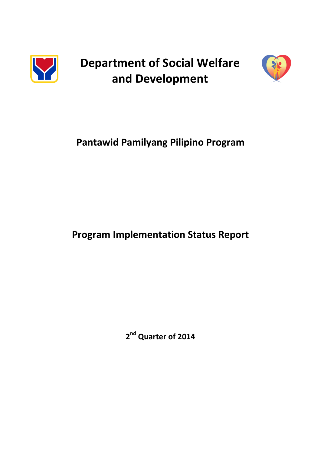

**Department of Social Welfare and Development**



# **Pantawid Pamilyang Pilipino Program**

# **Program Implementation Status Report**

**2 nd Quarter of 2014**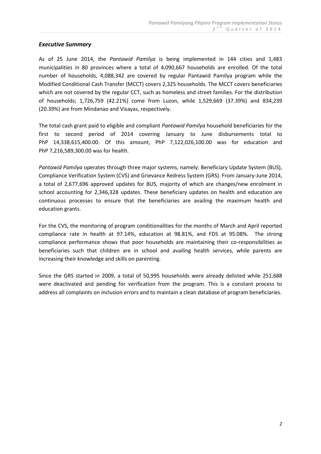## *Executive Summary*

As of 25 June 2014, the *Pantawid Pamilya* is being implemented in 144 cities and 1,483 municipalities in 80 provinces where a total of 4,090,667 households are enrolled. Of the total number of households, 4,088,342 are covered by regular Pantawid Pamilya program while the Modified Conditional Cash Transfer (MCCT) covers 2,325 households. The MCCT covers beneficiaries which are not covered by the regular CCT, such as homeless and street families. For the distribution of households; 1,726,759 (42.21%) come from Luzon, while 1,529,669 (37.39%) and 834,239 (20.39%) are from Mindanao and Visayas, respectively.

The total cash grant paid to eligible and compliant *Pantawid Pamilya* household beneficiaries for the first to second period of 2014 covering January to June disbursements total to PhP 14,338,615,400.00. Of this amount, PhP 7,122,026,100.00 was for education and PhP 7,216,589,300.00 was for health.

*Pantawid Pamilya* operates through three major systems, namely: Beneficiary Update System (BUS), Compliance Verification System (CVS) and Grievance Redress System (GRS). From January-June 2014, a total of 2,677,696 approved updates for BUS, majority of which are changes/new enrolment in school accounting for 2,346,328 updates. These beneficiary updates on health and education are continuous processes to ensure that the beneficiaries are availing the maximum health and education grants.

For the CVS, the monitoring of program conditionalities for the months of March and April reported compliance rate in health at 97.14%, education at 98.81%, and FDS at 95.08%. The strong compliance performance shows that poor households are maintaining their co-responsibilities as beneficiaries such that children are in school and availing health services, while parents are increasing their knowledge and skills on parenting.

Since the GRS started in 2009, a total of 50,995 households were already delisted while 251,688 were deactivated and pending for verification from the program. This is a constant process to address all complaints on inclusion errors and to maintain a clean database of program beneficiaries.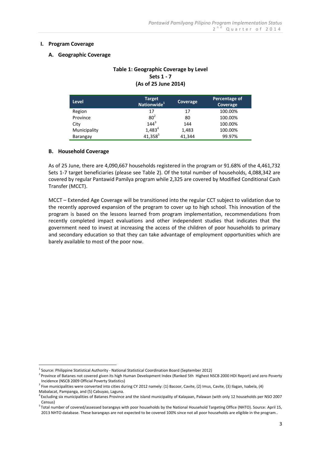#### **I. Program Coverage**

#### **A. Geographic Coverage**

## **Table 1: Geographic Coverage by Level Sets 1 - 7 (As of 25 June 2014)**

| Level        | <b>Target</b><br>Nationwide <sup>1</sup> | Coverage | Percentage of<br>Coverage |
|--------------|------------------------------------------|----------|---------------------------|
| Region       | 17                                       | 17       | 100.00%                   |
| Province     | $80^2$                                   | 80       | 100.00%                   |
| City         | $144^{3}$                                | 144      | 100.00%                   |
| Municipality | $1,483^{4}$                              | 1,483    | 100.00%                   |
| Barangay     | 41,3585                                  | 41,344   | 99.97%                    |

#### **B. Household Coverage**

<u>.</u>

As of 25 June, there are 4,090,667 households registered in the program or 91.68% of the 4,461,732 Sets 1-7 target beneficiaries (please see Table 2). Of the total number of households, 4,088,342 are covered by regular Pantawid Pamilya program while 2,325 are covered by Modified Conditional Cash Transfer (MCCT).

MCCT – Extended Age Coverage will be transitioned into the regular CCT subject to validation due to the recently approved expansion of the program to cover up to high school. This innovation of the program is based on the lessons learned from program implementation, recommendations from recently completed impact evaluations and other independent studies that indicates that the government need to invest at increasing the access of the children of poor households to primary and secondary education so that they can take advantage of employment opportunities which are barely available to most of the poor now.

<sup>&</sup>lt;sup>1</sup> Source: Philippine Statistical Authority - National Statistical Coordination Board (September 2012)

<sup>&</sup>lt;sup>2</sup> Province of Batanes not covered given its high Human Development Index (Ranked 5th Highest NSCB 2000 HDI Report) and zero Poverty Incidence (NSCB 2009 Official Poverty Statistics)

<sup>&</sup>lt;sup>3</sup> Five municipalities were converted into cities during CY 2012 namely: (1) Bacoor, Cavite, (2) Imus, Cavite, (3) Ilagan, Isabela, (4) Mabalacat, Pampanga, and (5) Cabuyao, Laguna.

<sup>4</sup> Excluding six municipalities of Batanes Province and the island municipality of Kalayaan, Palawan (with only 12 households per NSO 2007 Census)

<sup>&</sup>lt;sup>5</sup> Total number of covered/assessed barangays with poor households by the National Household Targeting Office (NHTO). Source: April 15, 2013 NHTO database. These barangays are not expected to be covered 100% since not all poor households are eligible in the program..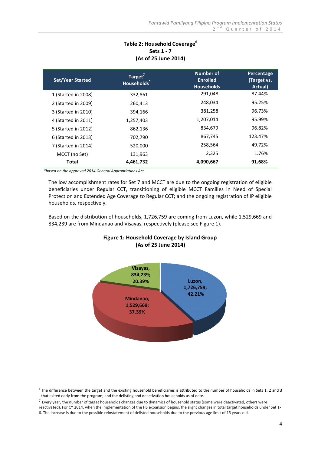# **Table 2: Household Coverage<sup>6</sup> Sets 1 - 7 (As of 25 June 2014)**

| <b>Set/Year Started</b> | Target <sup>7</sup><br>Households <sup>1</sup> | Number of<br><b>Enrolled</b><br><b>Households</b> | Percentage<br>(Target vs.<br>Actual) |
|-------------------------|------------------------------------------------|---------------------------------------------------|--------------------------------------|
| 1 (Started in 2008)     | 332,861                                        | 291,048                                           | 87.44%                               |
| 2 (Started in 2009)     | 260,413                                        | 248.034                                           | 95.25%                               |
| 3 (Started in 2010)     | 394,166                                        | 381,258                                           | 96.73%                               |
| 4 (Started in 2011)     | 1,257,403                                      | 1,207,014                                         | 95.99%                               |
| 5 (Started in 2012)     | 862,136                                        | 834,679                                           | 96.82%                               |
| 6 (Started in 2013)     | 702,790                                        | 867,745                                           | 123.47%                              |
| 7 (Started in 2014)     | 520,000                                        | 258,564                                           | 49.72%                               |
| MCCT (no Set)           | 131,963                                        | 2,325                                             | 1.76%                                |
| Total                   | 4,461,732                                      | 4,090,667                                         | 91.68%                               |

*\*based on the approved 2014 General Appropriations Act*

The low accomplishment rates for Set 7 and MCCT are due to the ongoing registration of eligible beneficiaries under Regular CCT, transitioning of eligible MCCT Families in Need of Special Protection and Extended Age Coverage to Regular CCT; and the ongoing registration of IP eligible households, respectively.

Based on the distribution of households, 1,726,759 are coming from Luzon, while 1,529,669 and 834,239 are from Mindanao and Visayas, respectively (please see Figure 1).

# **Figure 1: Household Coverage by Island Group (As of 25 June 2014)**



 6 The difference between the target and the existing household beneficiaries is attributed to the number of households in Sets 1, 2 and 3 that exited early from the program; and the delisting and deactivation households as of date.

<sup>7</sup> Every year, the number of target households changes due to dynamics of household status (some were deactivated, others were

reactivated). For CY 2014, when the implementation of the HS expansion begins, the slight changes in total target households under Set 1- 6. The increase is due to the possible reinstatement of delisted households due to the previous age limit of 15 years old.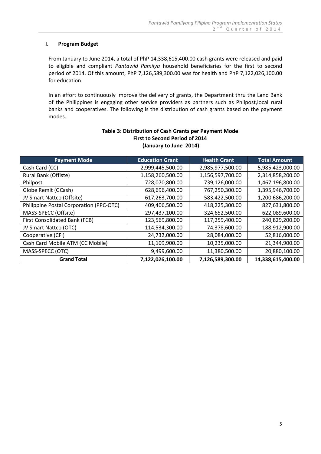#### **I. Program Budget**

From January to June 2014, a total of PhP 14,338,615,400.00 cash grants were released and paid to eligible and compliant *Pantawid Pamilya* household beneficiaries for the first to second period of 2014. Of this amount, PhP 7,126,589,300.00 was for health and PhP 7,122,026,100.00 for education.

In an effort to continuously improve the delivery of grants, the Department thru the Land Bank of the Philippines is engaging other service providers as partners such as Philpost,local rural banks and cooperatives. The following is the distribution of cash grants based on the payment modes.

| <b>Payment Mode</b>                     | <b>Education Grant</b> | <b>Health Grant</b> | <b>Total Amount</b> |
|-----------------------------------------|------------------------|---------------------|---------------------|
| Cash Card (CC)                          | 2,999,445,500.00       | 2,985,977,500.00    | 5,985,423,000.00    |
| Rural Bank (Offiste)                    | 1,158,260,500.00       | 1,156,597,700.00    | 2,314,858,200.00    |
| Philpost                                | 728,070,800.00         | 739,126,000.00      | 1,467,196,800.00    |
| Globe Remit (GCash)                     | 628,696,400.00         | 767,250,300.00      | 1,395,946,700.00    |
| JV Smart Nattco (Offsite)               | 617,263,700.00         | 583,422,500.00      | 1,200,686,200.00    |
| Philippine Postal Corporation (PPC-OTC) | 409,406,500.00         | 418,225,300.00      | 827,631,800.00      |
| MASS-SPECC (Offsite)                    | 297,437,100.00         | 324,652,500.00      | 622,089,600.00      |
| First Consolidated Bank (FCB)           | 123,569,800.00         | 117,259,400.00      | 240,829,200.00      |
| JV Smart Nattco (OTC)                   | 114,534,300.00         | 74,378,600.00       | 188,912,900.00      |
| Cooperative (CFI)                       | 24,732,000.00          | 28,084,000.00       | 52,816,000.00       |
| Cash Card Mobile ATM (CC Mobile)        | 11,109,900.00          | 10,235,000.00       | 21,344,900.00       |
| MASS-SPECC (OTC)                        | 9,499,600.00           | 11,380,500.00       | 20,880,100.00       |
| <b>Grand Total</b>                      | 7,122,026,100.00       | 7,126,589,300.00    | 14,338,615,400.00   |

## **Table 3: Distribution of Cash Grants per Payment Mode First to Second Period of 2014 (January to June 2014)**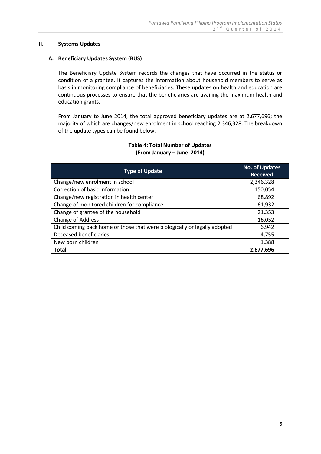#### **II. Systems Updates**

#### **A. Beneficiary Updates System (BUS)**

The Beneficiary Update System records the changes that have occurred in the status or condition of a grantee. It captures the information about household members to serve as basis in monitoring compliance of beneficiaries. These updates on health and education are continuous processes to ensure that the beneficiaries are availing the maximum health and education grants.

From January to June 2014, the total approved beneficiary updates are at 2,677,696; the majority of which are changes/new enrolment in school reaching 2,346,328. The breakdown of the update types can be found below.

## **Table 4: Total Number of Updates (From January – June 2014)**

| <b>Type of Update</b>                                                     | <b>No. of Updates</b><br><b>Received</b> |
|---------------------------------------------------------------------------|------------------------------------------|
| Change/new enrolment in school                                            | 2,346,328                                |
| Correction of basic information                                           | 150,054                                  |
| Change/new registration in health center                                  | 68,892                                   |
| Change of monitored children for compliance                               | 61,932                                   |
| Change of grantee of the household                                        | 21,353                                   |
| Change of Address                                                         | 16,052                                   |
| Child coming back home or those that were biologically or legally adopted | 6,942                                    |
| Deceased beneficiaries                                                    | 4,755                                    |
| New born children                                                         | 1,388                                    |
| <b>Total</b>                                                              | 2,677,696                                |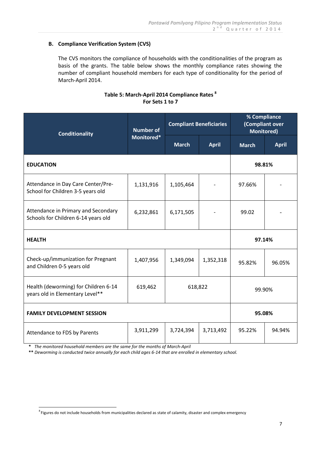# **B. Compliance Verification System (CVS)**

The CVS monitors the compliance of households with the conditionalities of the program as basis of the grants. The table below shows the monthly compliance rates showing the number of compliant household members for each type of conditionality for the period of March-April 2014.

## **Table 5: March-April 2014 Compliance Rates <sup>8</sup> For Sets 1 to 7**

| <b>Conditionality</b>                                                                         | <b>Number of</b><br>Monitored* | <b>Compliant Beneficiaries</b> |              | % Compliance<br>(Compliant over<br><b>Monitored)</b> |              |  |
|-----------------------------------------------------------------------------------------------|--------------------------------|--------------------------------|--------------|------------------------------------------------------|--------------|--|
|                                                                                               |                                | <b>March</b>                   | <b>April</b> | <b>March</b>                                         | <b>April</b> |  |
| <b>EDUCATION</b>                                                                              |                                |                                |              | 98.81%                                               |              |  |
| Attendance in Day Care Center/Pre-<br>School for Children 3-5 years old                       | 1,131,916                      | 1,105,464                      |              | 97.66%                                               |              |  |
| Attendance in Primary and Secondary<br>Schools for Children 6-14 years old                    | 6,232,861                      | 6,171,505                      |              | 99.02                                                |              |  |
| <b>HEALTH</b>                                                                                 |                                |                                |              |                                                      | 97.14%       |  |
| Check-up/immunization for Pregnant<br>and Children 0-5 years old                              | 1,407,956                      | 1,349,094                      | 1,352,318    | 95.82%                                               | 96.05%       |  |
| Health (deworming) for Children 6-14<br>619,462<br>618,822<br>years old in Elementary Level** |                                | 99.90%                         |              |                                                      |              |  |
| <b>FAMILY DEVELOPMENT SESSION</b>                                                             |                                |                                |              |                                                      | 95.08%       |  |
| Attendance to FDS by Parents                                                                  | 3,911,299                      | 3,724,394                      | 3,713,492    | 95.22%                                               | 94.94%       |  |

 **\*** *The monitored household members are the same for the months of March-April*

 **\*\*** *Deworming is conducted twice annually for each child ages 6-14 that are enrolled in elementary school.*

 8 Figures do not include households from municipalities declared as state of calamity, disaster and complex emergency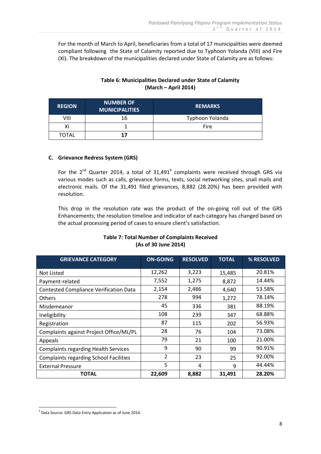For the month of March to April, beneficiaries from a total of 17 municipalities were deemed compliant following the State of Calamity reported due to Typhoon Yolanda (VIII) and Fire (XI). The breakdown of the municipalities declared under State of Calamity are as follows:

# **Table 6: Municipalities Declared under State of Calamity (March – April 2014)**

| <b>REGION</b> | <b>NUMBER OF</b><br><b>MUNICIPALITIES</b> | <b>REMARKS</b>  |
|---------------|-------------------------------------------|-----------------|
| VIII          | 16                                        | Typhoon Yolanda |
| ΧI            |                                           | Fire            |
| TOTAL         |                                           |                 |

## **C. Grievance Redress System (GRS)**

For the  $2^{nd}$  Quarter 2014, a total of  $31,491^9$  complaints were received through GRS via various modes such as calls, grievance forms, texts, social networking sites, snail mails and electronic mails. Of the 31,491 filed grievances, 8,882 (28.20%) has been provided with resolution.

This drop in the resolution rate was the product of the on-going roll out of the GRS Enhancements; the resolution timeline and indicator of each category has changed based on the actual processing period of cases to ensure client's satisfaction.

| <b>GRIEVANCE CATEGORY</b>                     | <b>ON-GOING</b> | <b>RESOLVED</b> | <b>TOTAL</b> | % RESOLVED |
|-----------------------------------------------|-----------------|-----------------|--------------|------------|
| Not Listed                                    | 12,262          | 3,223           | 15,485       | 20.81%     |
| Payment-related                               | 7,552           | 1,275           | 8,872        | 14.44%     |
| <b>Contested Compliance Verification Data</b> | 2,154           | 2,486           | 4,640        | 53.58%     |
| <b>Others</b>                                 | 278             | 994             | 1,272        | 78.14%     |
| Misdemeanor                                   | 45              | 336             | 381          | 88.19%     |
| Ineligibility                                 | 108             | 239             | 347          | 68.88%     |
| Registration                                  | 87              | 115             | 202          | 56.93%     |
| Complaints against Project Office/ML/PL       | 28              | 76              | 104          | 73.08%     |
| Appeals                                       | 79              | 21              | 100          | 21.00%     |
| <b>Complaints regarding Health Services</b>   | 9               | 90              | 99           | 90.91%     |
| <b>Complaints regarding School Facilities</b> | $\overline{2}$  | 23              | 25           | 92.00%     |
| <b>External Pressure</b>                      | 5               | 4               | 9            | 44.44%     |
| <b>TOTAL</b>                                  | 22,609          | 8,882           | 31,491       | 28.20%     |

## **Table 7: Total Number of Complaints Received (As of 30 June 2014)**

<u>.</u>

<sup>&</sup>lt;sup>9</sup> Data Source: GRS Data Entry Application as of June 2014.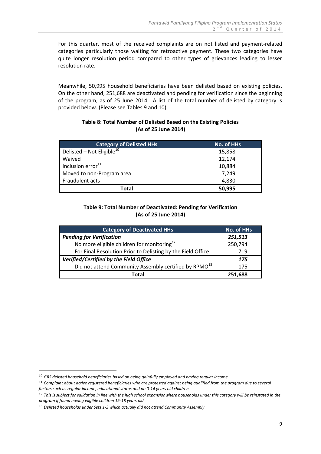For this quarter, most of the received complaints are on not listed and payment-related categories particularly those waiting for retroactive payment. These two categories have quite longer resolution period compared to other types of grievances leading to lesser resolution rate.

Meanwhile, 50,995 household beneficiaries have been delisted based on existing policies. On the other hand, 251,688 are deactivated and pending for verification since the beginning of the program, as of 25 June 2014. A list of the total number of delisted by category is provided below. (Please see Tables 9 and 10).

### **Table 8: Total Number of Delisted Based on the Existing Policies (As of 25 June 2014)**

| <b>Category of Delisted HHs</b>       | No. of HHs |
|---------------------------------------|------------|
| Delisted – Not Eligible <sup>10</sup> | 15,858     |
| Waived                                | 12,174     |
| Inclusion error <sup>11</sup>         | 10,884     |
| Moved to non-Program area             | 7,249      |
| Fraudulent acts                       | 4,830      |
| Total                                 | 50,995     |

## **Table 9: Total Number of Deactivated: Pending for Verification (As of 25 June 2014)**

| <b>Category of Deactivated HHs</b>                                | <b>No. of HHs</b> |
|-------------------------------------------------------------------|-------------------|
| <b>Pending for Verification</b>                                   | 251,513           |
| No more eligible children for monitoring <sup>12</sup>            | 250,794           |
| For Final Resolution Prior to Delisting by the Field Office       | 719               |
| Verified/Certified by the Field Office                            | 175               |
| Did not attend Community Assembly certified by RPMO <sup>13</sup> | 175               |
| Total                                                             | 251.688           |

<u>.</u>

<sup>10</sup> *GRS delisted household beneficiaries based on being gainfully employed and having regular income*

<sup>11</sup> *Complaint about active registered beneficiaries who are protested against being qualified from the program due to several factors such as regular income, educational status and no 0-14 years old children*

<sup>12</sup> *This is subject for validation in line with the high school expansionwhere households under this category will be reinstated in the program if found having eligible children 15-18 years old*

<sup>13</sup> *Delisted households under Sets 1-3 which actually did not attend Community Assembly*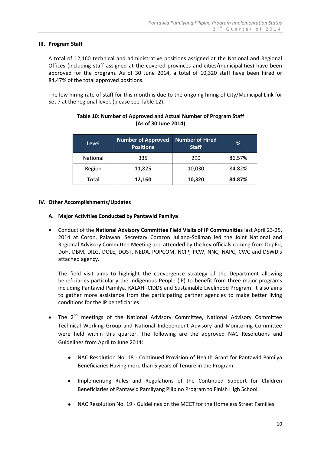### **III. Program Staff**

A total of 12,160 technical and administrative positions assigned at the National and Regional Offices (including staff assigned at the covered provinces and cities/municipalities) have been approved for the program. As of 30 June 2014, a total of 10,320 staff have been hired or 84.47% of the total approved positions.

The low hiring rate of staff for this month is due to the ongoing hiring of City/Municipal Link for Set 7 at the regional level. (please see Table 12).

| <b>Level</b>    | <b>Number of Approved</b><br><b>Positions</b> | <b>Number of Hired</b><br><b>Staff</b> | %      |
|-----------------|-----------------------------------------------|----------------------------------------|--------|
| <b>National</b> | 335                                           | 290                                    | 86.57% |
| Region          | 11,825                                        | 10,030                                 | 84.82% |
| Total           | 12,160                                        | 10,320                                 | 84.87% |

## **Table 10: Number of Approved and Actual Number of Program Staff (As of 30 June 2014)**

## **IV. Other Accomplishments/Updates**

## **A. Major Activities Conducted by Pantawid Pamilya**

 Conduct of the **National Advisory Committee Field Visits of IP Communities** last April 23-25, 2014 at Coron, Palawan. Secretary Corazon Juliano-Soliman led the Joint National and Regional Advisory Committee Meeting and attended by the key officials coming from DepEd, DoH, DBM, DILG, DOLE, DOST, NEDA, POPCOM, NCIP, PCW, NNC, NAPC, CWC and DSWD's attached agency.

The field visit aims to highlight the convergence strategy of the Department allowing beneficiaries particularly the Indigenous People (IP) to benefit from three major programs including Pantawid Pamilya, KALAHI-CIDDS and Sustainable Livelihood Program. It also aims to gather more assistance from the participating partner agencies to make better living conditions for the IP beneficiaries

- The 2<sup>nd</sup> meetings of the National Advisory Committee, National Advisory Committee Technical Working Group and National Independent Advisory and Monitoring Committee were held within this quarter. The following are the approved NAC Resolutions and Guidelines from April to June 2014:
	- NAC Resolution No. 18 Continued Provision of Health Grant for Pantawid Pamilya Beneficiaries Having more than 5 years of Tenure in the Program
	- Implementing Rules and Regulations of the Continued Support for Children Beneficiaries of Pantawid Pamilyang Pilipino Program to Finish High School
	- NAC Resolution No. 19 Guidelines on the MCCT for the Homeless Street Families